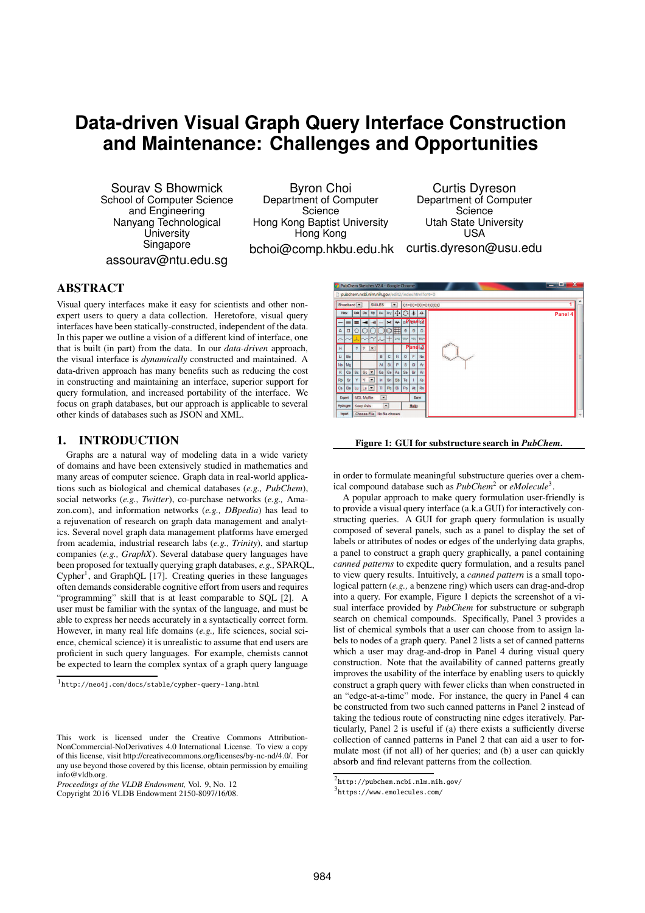# **Data-driven Visual Graph Query Interface Construction and Maintenance: Challenges and Opportunities**

Sourav S Bhowmick School of Computer Science and Engineering Nanyang Technological **University Singapore** assourav@ntu.edu.sg

Byron Choi Department of Computer **Science** Hong Kong Baptist University Hong Kong

bchoi@comp.hkbu.edu.hk

Curtis Dyreson Department of Computer Science Utah State University USA curtis.dyreson@usu.edu

# **ABSTRACT**

Visual query interfaces make it easy for scientists and other nonexpert users to query a data collection. Heretofore, visual query interfaces have been statically-constructed, independent of the data. In this paper we outline a vision of a different kind of interface, one that is built (in part) from the data. In our *data-driven* approach, the visual interface is *dynamically* constructed and maintained. A data-driven approach has many benefits such as reducing the cost in constructing and maintaining an interface, superior support for query formulation, and increased portability of the interface. We focus on graph databases, but our approach is applicable to several other kinds of databases such as JSON and XML.

## **1. INTRODUCTION**

Graphs are a natural way of modeling data in a wide variety of domains and have been extensively studied in mathematics and many areas of computer science. Graph data in real-world applications such as biological and chemical databases (*e.g., PubChem*), social networks (*e.g., Twitter*), co-purchase networks (*e.g.,* Amazon.com), and information networks (*e.g., DBpedia*) has lead to a rejuvenation of research on graph data management and analytics. Several novel graph data management platforms have emerged from academia, industrial research labs (*e.g., Trinity*), and startup companies (*e.g., GraphX*). Several database query languages have been proposed for textually querying graph databases, *e.g.,* SPARQL, Cypher<sup>1</sup>, and GraphQL [17]. Creating queries in these languages often demands considerable cognitive effort from users and requires "programming" skill that is at least comparable to SQL [2]. A user must be familiar with the syntax of the language, and must be able to express her needs accurately in a syntactically correct form. However, in many real life domains (*e.g.,* life sciences, social science, chemical science) it is unrealistic to assume that end users are proficient in such query languages. For example, chemists cannot be expected to learn the complex syntax of a graph query language



**Figure 1: GUI for substructure search in** *PubChem***.**

in order to formulate meaningful substructure queries over a chemical compound database such as *PubChem*<sup>2</sup> or *eMolecule*<sup>3</sup> .

A popular approach to make query formulation user-friendly is to provide a visual query interface (a.k.a GUI) for interactively constructing queries. A GUI for graph query formulation is usually composed of several panels, such as a panel to display the set of labels or attributes of nodes or edges of the underlying data graphs, a panel to construct a graph query graphically, a panel containing *canned patterns* to expedite query formulation, and a results panel to view query results. Intuitively, a *canned pattern* is a small topological pattern (*e.g.,* a benzene ring) which users can drag-and-drop into a query. For example, Figure 1 depicts the screenshot of a visual interface provided by *PubChem* for substructure or subgraph search on chemical compounds. Specifically, Panel 3 provides a list of chemical symbols that a user can choose from to assign labels to nodes of a graph query. Panel 2 lists a set of canned patterns which a user may drag-and-drop in Panel 4 during visual query construction. Note that the availability of canned patterns greatly improves the usability of the interface by enabling users to quickly construct a graph query with fewer clicks than when constructed in an "edge-at-a-time" mode. For instance, the query in Panel 4 can be constructed from two such canned patterns in Panel 2 instead of taking the tedious route of constructing nine edges iteratively. Particularly, Panel 2 is useful if (a) there exists a sufficiently diverse collection of canned patterns in Panel 2 that can aid a user to formulate most (if not all) of her queries; and (b) a user can quickly absorb and find relevant patterns from the collection.

<sup>1</sup> http://neo4j.com/docs/stable/cypher-query-lang.html

This work is licensed under the Creative Commons Attribution-NonCommercial-NoDerivatives 4.0 International License. To view a copy of this license, visit http://creativecommons.org/licenses/by-nc-nd/4.0/. For any use beyond those covered by this license, obtain permission by emailing info@vldb.org.

*Proceedings of the VLDB Endowment,* Vol. 9, No. 12

Copyright 2016 VLDB Endowment 2150-8097/16/08.

 $^{2}$ http://pubchem.ncbi.nlm.nih.gov/

<sup>3</sup> https://www.emolecules.com/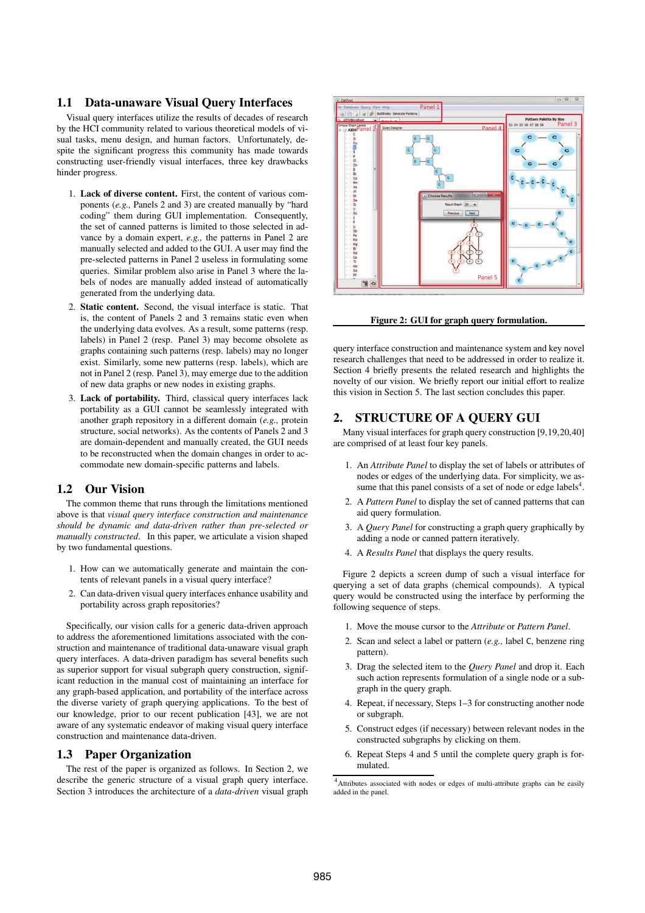## **1.1 Data-unaware Visual Query Interfaces**

Visual query interfaces utilize the results of decades of research by the HCI community related to various theoretical models of visual tasks, menu design, and human factors. Unfortunately, despite the significant progress this community has made towards constructing user-friendly visual interfaces, three key drawbacks hinder progress.

- 1. **Lack of diverse content.** First, the content of various components (*e.g.,* Panels 2 and 3) are created manually by "hard coding" them during GUI implementation. Consequently, the set of canned patterns is limited to those selected in advance by a domain expert, *e.g.,* the patterns in Panel 2 are manually selected and added to the GUI. A user may find the pre-selected patterns in Panel 2 useless in formulating some queries. Similar problem also arise in Panel 3 where the labels of nodes are manually added instead of automatically generated from the underlying data.
- 2. **Static content.** Second, the visual interface is static. That is, the content of Panels 2 and 3 remains static even when the underlying data evolves. As a result, some patterns (resp. labels) in Panel 2 (resp. Panel 3) may become obsolete as graphs containing such patterns (resp. labels) may no longer exist. Similarly, some new patterns (resp. labels), which are not in Panel 2 (resp. Panel 3), may emerge due to the addition of new data graphs or new nodes in existing graphs.
- 3. **Lack of portability.** Third, classical query interfaces lack portability as a GUI cannot be seamlessly integrated with another graph repository in a different domain (*e.g.,* protein structure, social networks). As the contents of Panels 2 and 3 are domain-dependent and manually created, the GUI needs to be reconstructed when the domain changes in order to accommodate new domain-specific patterns and labels.

#### **1.2 Our Vision**

The common theme that runs through the limitations mentioned above is that *visual query interface construction and maintenance should be dynamic and data-driven rather than pre-selected or manually constructed*. In this paper, we articulate a vision shaped by two fundamental questions.

- 1. How can we automatically generate and maintain the contents of relevant panels in a visual query interface?
- 2. Can data-driven visual query interfaces enhance usability and portability across graph repositories?

Specifically, our vision calls for a generic data-driven approach to address the aforementioned limitations associated with the construction and maintenance of traditional data-unaware visual graph query interfaces. A data-driven paradigm has several benefits such as superior support for visual subgraph query construction, significant reduction in the manual cost of maintaining an interface for any graph-based application, and portability of the interface across the diverse variety of graph querying applications. To the best of our knowledge, prior to our recent publication [43], we are not aware of any systematic endeavor of making visual query interface construction and maintenance data-driven.

## **1.3 Paper Organization**

The rest of the paper is organized as follows. In Section 2, we describe the generic structure of a visual graph query interface. Section 3 introduces the architecture of a *data-driven* visual graph



**Figure 2: GUI for graph query formulation.**

query interface construction and maintenance system and key novel research challenges that need to be addressed in order to realize it. Section 4 briefly presents the related research and highlights the novelty of our vision. We briefly report our initial effort to realize this vision in Section 5. The last section concludes this paper.

## **2. STRUCTURE OF A QUERY GUI**

Many visual interfaces for graph query construction [9,19,20,40] are comprised of at least four key panels.

- 1. An *Attribute Panel* to display the set of labels or attributes of nodes or edges of the underlying data. For simplicity, we assume that this panel consists of a set of node or edge labels $4$ .
- 2. A *Pattern Panel* to display the set of canned patterns that can aid query formulation.
- 3. A *Query Panel* for constructing a graph query graphically by adding a node or canned pattern iteratively.
- 4. A *Results Panel* that displays the query results.

Figure 2 depicts a screen dump of such a visual interface for querying a set of data graphs (chemical compounds). A typical query would be constructed using the interface by performing the following sequence of steps.

- 1. Move the mouse cursor to the *Attribute* or *Pattern Panel*.
- 2. Scan and select a label or pattern (*e.g.,* label C, benzene ring pattern).
- 3. Drag the selected item to the *Query Panel* and drop it. Each such action represents formulation of a single node or a subgraph in the query graph.
- 4. Repeat, if necessary, Steps 1–3 for constructing another node or subgraph.
- 5. Construct edges (if necessary) between relevant nodes in the constructed subgraphs by clicking on them.
- 6. Repeat Steps 4 and 5 until the complete query graph is formulated.

<sup>4</sup>Attributes associated with nodes or edges of multi-attribute graphs can be easily added in the panel.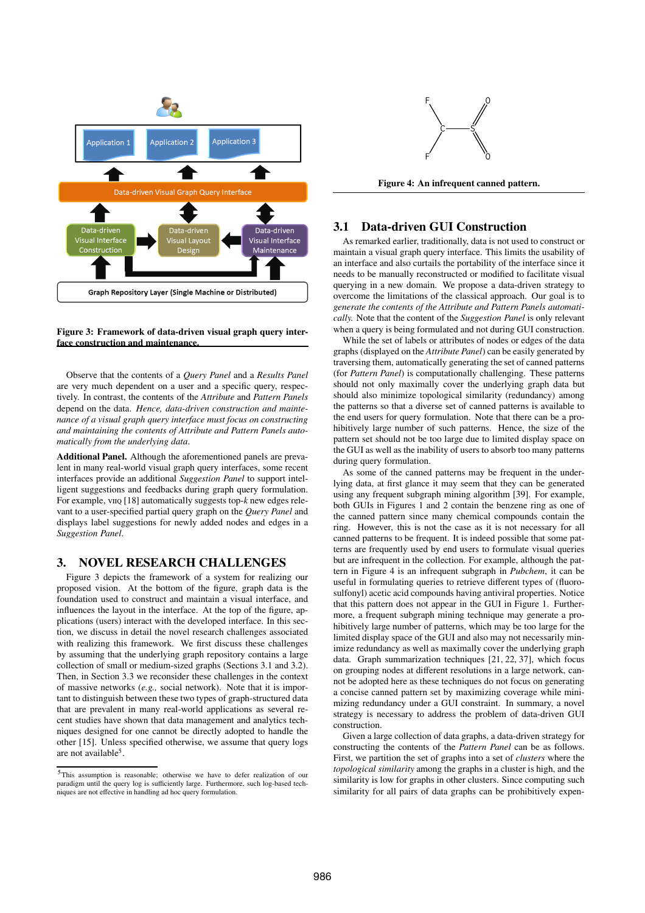

#### **Figure 3: Framework of data-driven visual graph query interface construction and maintenance.**

Observe that the contents of a *Query Panel* and a *Results Panel* are very much dependent on a user and a specific query, respectively. In contrast, the contents of the *Attribute* and *Pattern Panels* depend on the data. *Hence, data-driven construction and maintenance of a visual graph query interface must focus on constructing and maintaining the contents of Attribute and Pattern Panels automatically from the underlying data*.

**Additional Panel.** Although the aforementioned panels are prevalent in many real-world visual graph query interfaces, some recent interfaces provide an additional *Suggestion Panel* to support intelligent suggestions and feedbacks during graph query formulation. For example, viiq [18] automatically suggests top- $k$  new edges relevant to a user-specified partial query graph on the *Query Panel* and displays label suggestions for newly added nodes and edges in a *Suggestion Panel*.

## **3. NOVEL RESEARCH CHALLENGES**

Figure 3 depicts the framework of a system for realizing our proposed vision. At the bottom of the figure, graph data is the foundation used to construct and maintain a visual interface, and influences the layout in the interface. At the top of the figure, applications (users) interact with the developed interface. In this section, we discuss in detail the novel research challenges associated with realizing this framework. We first discuss these challenges by assuming that the underlying graph repository contains a large collection of small or medium-sized graphs (Sections 3.1 and 3.2). Then, in Section 3.3 we reconsider these challenges in the context of massive networks (*e.g.,* social network). Note that it is important to distinguish between these two types of graph-structured data that are prevalent in many real-world applications as several recent studies have shown that data management and analytics techniques designed for one cannot be directly adopted to handle the other [15]. Unless specified otherwise, we assume that query logs are not available<sup>5</sup>.



#### **3.1 Data-driven GUI Construction**

As remarked earlier, traditionally, data is not used to construct or maintain a visual graph query interface. This limits the usability of an interface and also curtails the portability of the interface since it needs to be manually reconstructed or modified to facilitate visual querying in a new domain. We propose a data-driven strategy to overcome the limitations of the classical approach. Our goal is to *generate the contents of the Attribute and Pattern Panels automatically.* Note that the content of the *Suggestion Panel* is only relevant when a query is being formulated and not during GUI construction.

While the set of labels or attributes of nodes or edges of the data graphs (displayed on the *Attribute Panel*) can be easily generated by traversing them, automatically generating the set of canned patterns (for *Pattern Panel*) is computationally challenging. These patterns should not only maximally cover the underlying graph data but should also minimize topological similarity (redundancy) among the patterns so that a diverse set of canned patterns is available to the end users for query formulation. Note that there can be a prohibitively large number of such patterns. Hence, the size of the pattern set should not be too large due to limited display space on the GUI as well as the inability of users to absorb too many patterns during query formulation.

As some of the canned patterns may be frequent in the underlying data, at first glance it may seem that they can be generated using any frequent subgraph mining algorithm [39]. For example, both GUIs in Figures 1 and 2 contain the benzene ring as one of the canned pattern since many chemical compounds contain the ring. However, this is not the case as it is not necessary for all canned patterns to be frequent. It is indeed possible that some patterns are frequently used by end users to formulate visual queries but are infrequent in the collection. For example, although the pattern in Figure 4 is an infrequent subgraph in *Pubchem*, it can be useful in formulating queries to retrieve different types of (fluorosulfonyl) acetic acid compounds having antiviral properties. Notice that this pattern does not appear in the GUI in Figure 1. Furthermore, a frequent subgraph mining technique may generate a prohibitively large number of patterns, which may be too large for the limited display space of the GUI and also may not necessarily minimize redundancy as well as maximally cover the underlying graph data. Graph summarization techniques [21, 22, 37], which focus on grouping nodes at different resolutions in a large network, cannot be adopted here as these techniques do not focus on generating a concise canned pattern set by maximizing coverage while minimizing redundancy under a GUI constraint. In summary, a novel strategy is necessary to address the problem of data-driven GUI construction.

Given a large collection of data graphs, a data-driven strategy for constructing the contents of the *Pattern Panel* can be as follows. First, we partition the set of graphs into a set of *clusters* where the *topological similarity* among the graphs in a cluster is high, and the similarity is low for graphs in other clusters. Since computing such similarity for all pairs of data graphs can be prohibitively expen-

<sup>&</sup>lt;sup>5</sup>This assumption is reasonable; otherwise we have to defer realization of our paradigm until the query log is sufficiently large. Furthermore, such log-based tech-niques are not effective in handling ad hoc query formulation.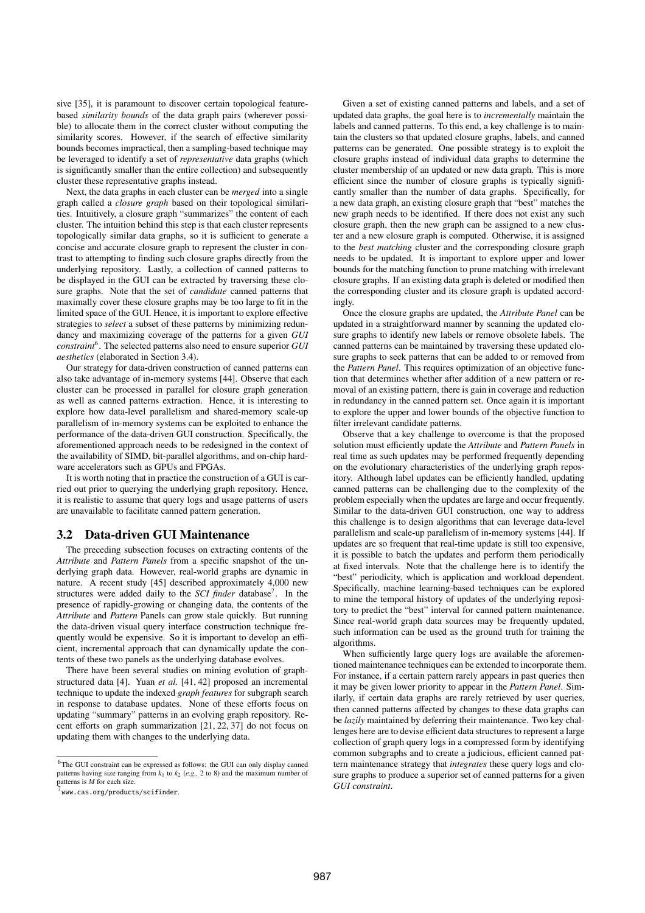sive [35], it is paramount to discover certain topological featurebased *similarity bounds* of the data graph pairs (wherever possible) to allocate them in the correct cluster without computing the similarity scores. However, if the search of effective similarity bounds becomes impractical, then a sampling-based technique may be leveraged to identify a set of *representative* data graphs (which is significantly smaller than the entire collection) and subsequently cluster these representative graphs instead.

Next, the data graphs in each cluster can be *merged* into a single graph called a *closure graph* based on their topological similarities. Intuitively, a closure graph "summarizes" the content of each cluster. The intuition behind this step is that each cluster represents topologically similar data graphs, so it is sufficient to generate a concise and accurate closure graph to represent the cluster in contrast to attempting to finding such closure graphs directly from the underlying repository. Lastly, a collection of canned patterns to be displayed in the GUI can be extracted by traversing these closure graphs. Note that the set of *candidate* canned patterns that maximally cover these closure graphs may be too large to fit in the limited space of the GUI. Hence, it is important to explore effective strategies to *select* a subset of these patterns by minimizing redundancy and maximizing coverage of the patterns for a given *GUI constraint*<sup>6</sup> . The selected patterns also need to ensure superior *GUI aesthetics* (elaborated in Section 3.4).

Our strategy for data-driven construction of canned patterns can also take advantage of in-memory systems [44]. Observe that each cluster can be processed in parallel for closure graph generation as well as canned patterns extraction. Hence, it is interesting to explore how data-level parallelism and shared-memory scale-up parallelism of in-memory systems can be exploited to enhance the performance of the data-driven GUI construction. Specifically, the aforementioned approach needs to be redesigned in the context of the availability of SIMD, bit-parallel algorithms, and on-chip hardware accelerators such as GPUs and FPGAs.

It is worth noting that in practice the construction of a GUI is carried out prior to querying the underlying graph repository. Hence, it is realistic to assume that query logs and usage patterns of users are unavailable to facilitate canned pattern generation.

#### **3.2 Data-driven GUI Maintenance**

The preceding subsection focuses on extracting contents of the *Attribute* and *Pattern Panels* from a specific snapshot of the underlying graph data. However, real-world graphs are dynamic in nature. A recent study [45] described approximately 4,000 new structures were added daily to the *SCI finder* database<sup>7</sup> . In the presence of rapidly-growing or changing data, the contents of the *Attribute* and *Pattern* Panels can grow stale quickly. But running the data-driven visual query interface construction technique frequently would be expensive. So it is important to develop an efficient, incremental approach that can dynamically update the contents of these two panels as the underlying database evolves.

There have been several studies on mining evolution of graphstructured data [4]. Yuan *et al.* [41, 42] proposed an incremental technique to update the indexed *graph features* for subgraph search in response to database updates. None of these efforts focus on updating "summary" patterns in an evolving graph repository. Recent efforts on graph summarization [21, 22, 37] do not focus on updating them with changes to the underlying data.

Given a set of existing canned patterns and labels, and a set of updated data graphs, the goal here is to *incrementally* maintain the labels and canned patterns. To this end, a key challenge is to maintain the clusters so that updated closure graphs, labels, and canned patterns can be generated. One possible strategy is to exploit the closure graphs instead of individual data graphs to determine the cluster membership of an updated or new data graph. This is more efficient since the number of closure graphs is typically significantly smaller than the number of data graphs. Specifically, for a new data graph, an existing closure graph that "best" matches the new graph needs to be identified. If there does not exist any such closure graph, then the new graph can be assigned to a new cluster and a new closure graph is computed. Otherwise, it is assigned to the *best matching* cluster and the corresponding closure graph needs to be updated. It is important to explore upper and lower bounds for the matching function to prune matching with irrelevant closure graphs. If an existing data graph is deleted or modified then the corresponding cluster and its closure graph is updated accordingly.

Once the closure graphs are updated, the *Attribute Panel* can be updated in a straightforward manner by scanning the updated closure graphs to identify new labels or remove obsolete labels. The canned patterns can be maintained by traversing these updated closure graphs to seek patterns that can be added to or removed from the *Pattern Panel*. This requires optimization of an objective function that determines whether after addition of a new pattern or removal of an existing pattern, there is gain in coverage and reduction in redundancy in the canned pattern set. Once again it is important to explore the upper and lower bounds of the objective function to filter irrelevant candidate patterns.

Observe that a key challenge to overcome is that the proposed solution must efficiently update the *Attribute* and *Pattern Panels* in real time as such updates may be performed frequently depending on the evolutionary characteristics of the underlying graph repository. Although label updates can be efficiently handled, updating canned patterns can be challenging due to the complexity of the problem especially when the updates are large and occur frequently. Similar to the data-driven GUI construction, one way to address this challenge is to design algorithms that can leverage data-level parallelism and scale-up parallelism of in-memory systems [44]. If updates are so frequent that real-time update is still too expensive, it is possible to batch the updates and perform them periodically at fixed intervals. Note that the challenge here is to identify the "best" periodicity, which is application and workload dependent. Specifically, machine learning-based techniques can be explored to mine the temporal history of updates of the underlying repository to predict the "best" interval for canned pattern maintenance. Since real-world graph data sources may be frequently updated, such information can be used as the ground truth for training the algorithms.

When sufficiently large query logs are available the aforementioned maintenance techniques can be extended to incorporate them. For instance, if a certain pattern rarely appears in past queries then it may be given lower priority to appear in the *Pattern Panel*. Similarly, if certain data graphs are rarely retrieved by user queries, then canned patterns affected by changes to these data graphs can be *lazily* maintained by deferring their maintenance. Two key challenges here are to devise efficient data structures to represent a large collection of graph query logs in a compressed form by identifying common subgraphs and to create a judicious, efficient canned pattern maintenance strategy that *integrates* these query logs and closure graphs to produce a superior set of canned patterns for a given *GUI constraint*.

<sup>&</sup>lt;sup>6</sup>The GUI constraint can be expressed as follows: the GUI can only display canned patterns having size ranging from  $k_1$  to  $k_2$  (*e.g.*, 2 to 8) and the maximum number of patterns is *M* for each size.

<sup>7</sup> www.cas.org/products/scifinder.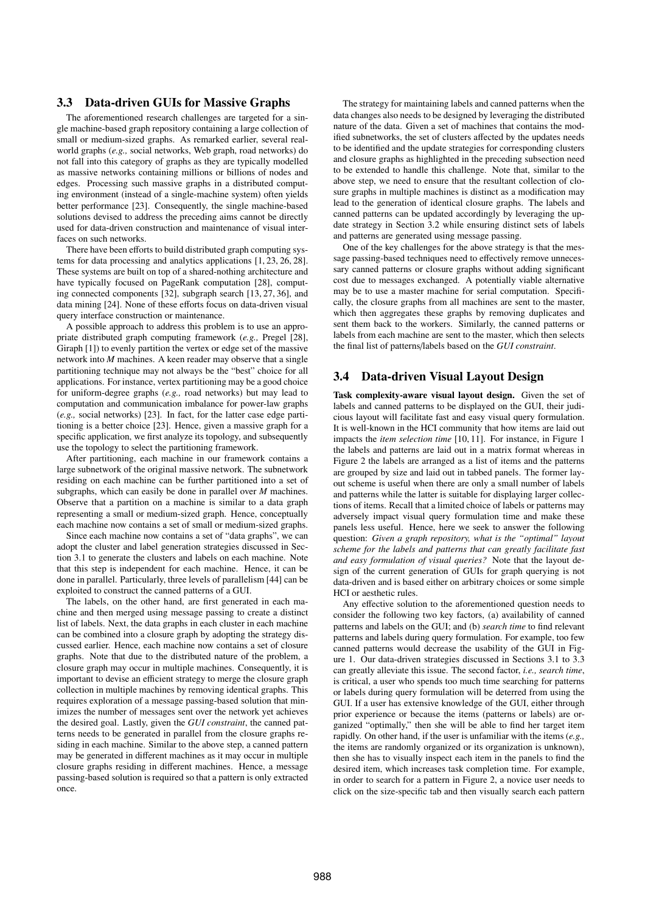## **3.3 Data-driven GUIs for Massive Graphs**

The aforementioned research challenges are targeted for a single machine-based graph repository containing a large collection of small or medium-sized graphs. As remarked earlier, several realworld graphs (*e.g.,* social networks, Web graph, road networks) do not fall into this category of graphs as they are typically modelled as massive networks containing millions or billions of nodes and edges. Processing such massive graphs in a distributed computing environment (instead of a single-machine system) often yields better performance [23]. Consequently, the single machine-based solutions devised to address the preceding aims cannot be directly used for data-driven construction and maintenance of visual interfaces on such networks.

There have been efforts to build distributed graph computing systems for data processing and analytics applications [1, 23, 26, 28]. These systems are built on top of a shared-nothing architecture and have typically focused on PageRank computation [28], computing connected components [32], subgraph search [13, 27, 36], and data mining [24]. None of these efforts focus on data-driven visual query interface construction or maintenance.

A possible approach to address this problem is to use an appropriate distributed graph computing framework (*e.g.,* Pregel [28], Giraph [1]) to evenly partition the vertex or edge set of the massive network into *M* machines. A keen reader may observe that a single partitioning technique may not always be the "best" choice for all applications. For instance, vertex partitioning may be a good choice for uniform-degree graphs (*e.g.,* road networks) but may lead to computation and communication imbalance for power-law graphs (*e.g.,* social networks) [23]. In fact, for the latter case edge partitioning is a better choice [23]. Hence, given a massive graph for a specific application, we first analyze its topology, and subsequently use the topology to select the partitioning framework.

After partitioning, each machine in our framework contains a large subnetwork of the original massive network. The subnetwork residing on each machine can be further partitioned into a set of subgraphs, which can easily be done in parallel over *M* machines. Observe that a partition on a machine is similar to a data graph representing a small or medium-sized graph. Hence, conceptually each machine now contains a set of small or medium-sized graphs.

Since each machine now contains a set of "data graphs", we can adopt the cluster and label generation strategies discussed in Section 3.1 to generate the clusters and labels on each machine. Note that this step is independent for each machine. Hence, it can be done in parallel. Particularly, three levels of parallelism [44] can be exploited to construct the canned patterns of a GUI.

The labels, on the other hand, are first generated in each machine and then merged using message passing to create a distinct list of labels. Next, the data graphs in each cluster in each machine can be combined into a closure graph by adopting the strategy discussed earlier. Hence, each machine now contains a set of closure graphs. Note that due to the distributed nature of the problem, a closure graph may occur in multiple machines. Consequently, it is important to devise an efficient strategy to merge the closure graph collection in multiple machines by removing identical graphs. This requires exploration of a message passing-based solution that minimizes the number of messages sent over the network yet achieves the desired goal. Lastly, given the *GUI constraint*, the canned patterns needs to be generated in parallel from the closure graphs residing in each machine. Similar to the above step, a canned pattern may be generated in different machines as it may occur in multiple closure graphs residing in different machines. Hence, a message passing-based solution is required so that a pattern is only extracted once.

The strategy for maintaining labels and canned patterns when the data changes also needs to be designed by leveraging the distributed nature of the data. Given a set of machines that contains the modified subnetworks, the set of clusters affected by the updates needs to be identified and the update strategies for corresponding clusters and closure graphs as highlighted in the preceding subsection need to be extended to handle this challenge. Note that, similar to the above step, we need to ensure that the resultant collection of closure graphs in multiple machines is distinct as a modification may lead to the generation of identical closure graphs. The labels and canned patterns can be updated accordingly by leveraging the update strategy in Section 3.2 while ensuring distinct sets of labels and patterns are generated using message passing.

One of the key challenges for the above strategy is that the message passing-based techniques need to effectively remove unnecessary canned patterns or closure graphs without adding significant cost due to messages exchanged. A potentially viable alternative may be to use a master machine for serial computation. Specifically, the closure graphs from all machines are sent to the master, which then aggregates these graphs by removing duplicates and sent them back to the workers. Similarly, the canned patterns or labels from each machine are sent to the master, which then selects the final list of patterns/labels based on the *GUI constraint*.

#### **3.4 Data-driven Visual Layout Design**

**Task complexity-aware visual layout design.** Given the set of labels and canned patterns to be displayed on the GUI, their judicious layout will facilitate fast and easy visual query formulation. It is well-known in the HCI community that how items are laid out impacts the *item selection time* [10, 11]. For instance, in Figure 1 the labels and patterns are laid out in a matrix format whereas in Figure 2 the labels are arranged as a list of items and the patterns are grouped by size and laid out in tabbed panels. The former layout scheme is useful when there are only a small number of labels and patterns while the latter is suitable for displaying larger collections of items. Recall that a limited choice of labels or patterns may adversely impact visual query formulation time and make these panels less useful. Hence, here we seek to answer the following question: *Given a graph repository, what is the "optimal" layout scheme for the labels and patterns that can greatly facilitate fast and easy formulation of visual queries?* Note that the layout design of the current generation of GUIs for graph querying is not data-driven and is based either on arbitrary choices or some simple HCI or aesthetic rules.

Any effective solution to the aforementioned question needs to consider the following two key factors, (a) availability of canned patterns and labels on the GUI; and (b) *search time* to find relevant patterns and labels during query formulation. For example, too few canned patterns would decrease the usability of the GUI in Figure 1. Our data-driven strategies discussed in Sections 3.1 to 3.3 can greatly alleviate this issue. The second factor, *i.e., search time*, is critical, a user who spends too much time searching for patterns or labels during query formulation will be deterred from using the GUI. If a user has extensive knowledge of the GUI, either through prior experience or because the items (patterns or labels) are organized "optimally," then she will be able to find her target item rapidly. On other hand, if the user is unfamiliar with the items (*e.g.,* the items are randomly organized or its organization is unknown), then she has to visually inspect each item in the panels to find the desired item, which increases task completion time. For example, in order to search for a pattern in Figure 2, a novice user needs to click on the size-specific tab and then visually search each pattern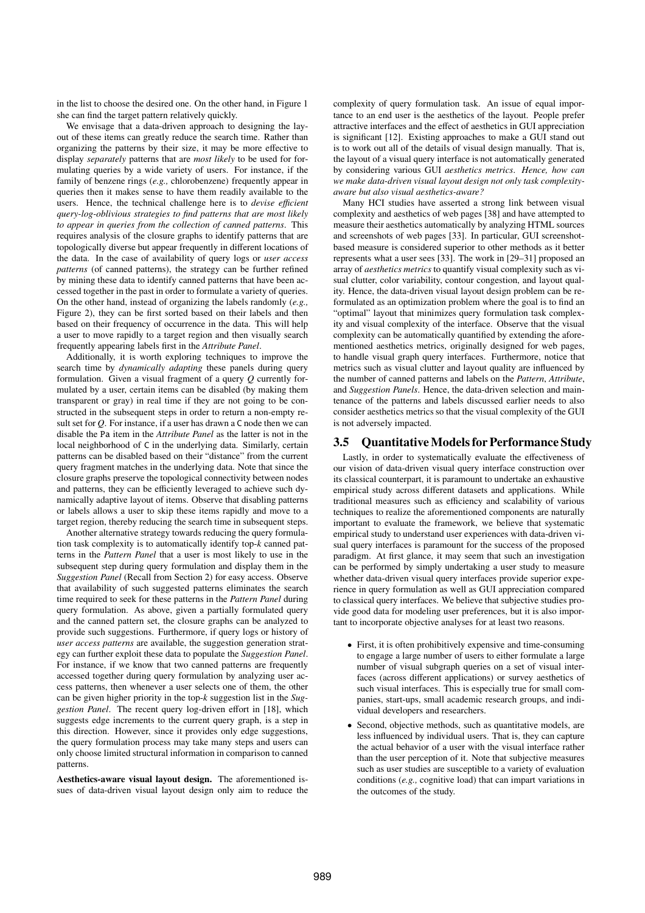in the list to choose the desired one. On the other hand, in Figure 1 she can find the target pattern relatively quickly.

We envisage that a data-driven approach to designing the layout of these items can greatly reduce the search time. Rather than organizing the patterns by their size, it may be more effective to display *separately* patterns that are *most likely* to be used for formulating queries by a wide variety of users. For instance, if the family of benzene rings (*e.g.,* chlorobenzene) frequently appear in queries then it makes sense to have them readily available to the users. Hence, the technical challenge here is to *devise efficient query-log-oblivious strategies to find patterns that are most likely to appear in queries from the collection of canned patterns*. This requires analysis of the closure graphs to identify patterns that are topologically diverse but appear frequently in different locations of the data. In the case of availability of query logs or *user access patterns* (of canned patterns), the strategy can be further refined by mining these data to identify canned patterns that have been accessed together in the past in order to formulate a variety of queries. On the other hand, instead of organizing the labels randomly (*e.g.,* Figure 2), they can be first sorted based on their labels and then based on their frequency of occurrence in the data. This will help a user to move rapidly to a target region and then visually search frequently appearing labels first in the *Attribute Panel*.

Additionally, it is worth exploring techniques to improve the search time by *dynamically adapting* these panels during query formulation. Given a visual fragment of a query *Q* currently formulated by a user, certain items can be disabled (by making them transparent or gray) in real time if they are not going to be constructed in the subsequent steps in order to return a non-empty result set for *Q*. For instance, if a user has drawn a C node then we can disable the Pa item in the *Attribute Panel* as the latter is not in the local neighborhood of C in the underlying data. Similarly, certain patterns can be disabled based on their "distance" from the current query fragment matches in the underlying data. Note that since the closure graphs preserve the topological connectivity between nodes and patterns, they can be efficiently leveraged to achieve such dynamically adaptive layout of items. Observe that disabling patterns or labels allows a user to skip these items rapidly and move to a target region, thereby reducing the search time in subsequent steps.

Another alternative strategy towards reducing the query formulation task complexity is to automatically identify top-*k* canned patterns in the *Pattern Panel* that a user is most likely to use in the subsequent step during query formulation and display them in the *Suggestion Panel* (Recall from Section 2) for easy access. Observe that availability of such suggested patterns eliminates the search time required to seek for these patterns in the *Pattern Panel* during query formulation. As above, given a partially formulated query and the canned pattern set, the closure graphs can be analyzed to provide such suggestions. Furthermore, if query logs or history of *user access patterns* are available, the suggestion generation strategy can further exploit these data to populate the *Suggestion Panel*. For instance, if we know that two canned patterns are frequently accessed together during query formulation by analyzing user access patterns, then whenever a user selects one of them, the other can be given higher priority in the top-*k* suggestion list in the *Suggestion Panel*. The recent query log-driven effort in [18], which suggests edge increments to the current query graph, is a step in this direction. However, since it provides only edge suggestions, the query formulation process may take many steps and users can only choose limited structural information in comparison to canned patterns.

**Aesthetics-aware visual layout design.** The aforementioned issues of data-driven visual layout design only aim to reduce the complexity of query formulation task. An issue of equal importance to an end user is the aesthetics of the layout. People prefer attractive interfaces and the effect of aesthetics in GUI appreciation is significant [12]. Existing approaches to make a GUI stand out is to work out all of the details of visual design manually. That is, the layout of a visual query interface is not automatically generated by considering various GUI *aesthetics metrics*. *Hence, how can we make data-driven visual layout design not only task complexityaware but also visual aesthetics-aware?*

Many HCI studies have asserted a strong link between visual complexity and aesthetics of web pages [38] and have attempted to measure their aesthetics automatically by analyzing HTML sources and screenshots of web pages [33]. In particular, GUI screenshotbased measure is considered superior to other methods as it better represents what a user sees [33]. The work in [29–31] proposed an array of *aesthetics metrics* to quantify visual complexity such as visual clutter, color variability, contour congestion, and layout quality. Hence, the data-driven visual layout design problem can be reformulated as an optimization problem where the goal is to find an "optimal" layout that minimizes query formulation task complexity and visual complexity of the interface. Observe that the visual complexity can be automatically quantified by extending the aforementioned aesthetics metrics, originally designed for web pages, to handle visual graph query interfaces. Furthermore, notice that metrics such as visual clutter and layout quality are influenced by the number of canned patterns and labels on the *Pattern*, *Attribute*, and *Suggestion Panels*. Hence, the data-driven selection and maintenance of the patterns and labels discussed earlier needs to also consider aesthetics metrics so that the visual complexity of the GUI is not adversely impacted.

#### **3.5 Quantitative Models for Performance Study**

Lastly, in order to systematically evaluate the effectiveness of our vision of data-driven visual query interface construction over its classical counterpart, it is paramount to undertake an exhaustive empirical study across different datasets and applications. While traditional measures such as efficiency and scalability of various techniques to realize the aforementioned components are naturally important to evaluate the framework, we believe that systematic empirical study to understand user experiences with data-driven visual query interfaces is paramount for the success of the proposed paradigm. At first glance, it may seem that such an investigation can be performed by simply undertaking a user study to measure whether data-driven visual query interfaces provide superior experience in query formulation as well as GUI appreciation compared to classical query interfaces. We believe that subjective studies provide good data for modeling user preferences, but it is also important to incorporate objective analyses for at least two reasons.

- First, it is often prohibitively expensive and time-consuming to engage a large number of users to either formulate a large number of visual subgraph queries on a set of visual interfaces (across different applications) or survey aesthetics of such visual interfaces. This is especially true for small companies, start-ups, small academic research groups, and individual developers and researchers.
- Second, objective methods, such as quantitative models, are less influenced by individual users. That is, they can capture the actual behavior of a user with the visual interface rather than the user perception of it. Note that subjective measures such as user studies are susceptible to a variety of evaluation conditions (*e.g.,* cognitive load) that can impart variations in the outcomes of the study.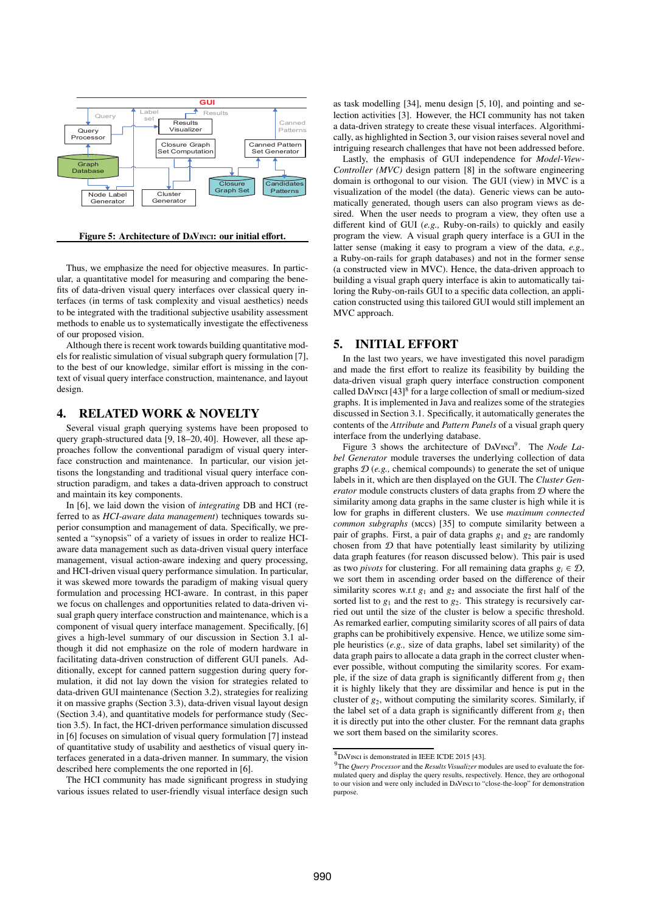

**Figure 5: Architecture of D**a**V**inci**: our initial e**ff**ort.**

Thus, we emphasize the need for objective measures. In particular, a quantitative model for measuring and comparing the benefits of data-driven visual query interfaces over classical query interfaces (in terms of task complexity and visual aesthetics) needs to be integrated with the traditional subjective usability assessment methods to enable us to systematically investigate the effectiveness of our proposed vision.

Although there is recent work towards building quantitative models for realistic simulation of visual subgraph query formulation [7], to the best of our knowledge, similar effort is missing in the context of visual query interface construction, maintenance, and layout design.

#### **4. RELATED WORK & NOVELTY**

Several visual graph querying systems have been proposed to query graph-structured data [9, 18–20, 40]. However, all these approaches follow the conventional paradigm of visual query interface construction and maintenance. In particular, our vision jettisons the longstanding and traditional visual query interface construction paradigm, and takes a data-driven approach to construct and maintain its key components.

In [6], we laid down the vision of *integrating* DB and HCI (referred to as *HCI-aware data management*) techniques towards superior consumption and management of data. Specifically, we presented a "synopsis" of a variety of issues in order to realize HCIaware data management such as data-driven visual query interface management, visual action-aware indexing and query processing, and HCI-driven visual query performance simulation. In particular, it was skewed more towards the paradigm of making visual query formulation and processing HCI-aware. In contrast, in this paper we focus on challenges and opportunities related to data-driven visual graph query interface construction and maintenance, which is a component of visual query interface management. Specifically, [6] gives a high-level summary of our discussion in Section 3.1 although it did not emphasize on the role of modern hardware in facilitating data-driven construction of different GUI panels. Additionally, except for canned pattern suggestion during query formulation, it did not lay down the vision for strategies related to data-driven GUI maintenance (Section 3.2), strategies for realizing it on massive graphs (Section 3.3), data-driven visual layout design (Section 3.4), and quantitative models for performance study (Section 3.5). In fact, the HCI-driven performance simulation discussed in [6] focuses on simulation of visual query formulation [7] instead of quantitative study of usability and aesthetics of visual query interfaces generated in a data-driven manner. In summary, the vision described here complements the one reported in [6].

The HCI community has made significant progress in studying various issues related to user-friendly visual interface design such as task modelling [34], menu design [5, 10], and pointing and selection activities [3]. However, the HCI community has not taken a data-driven strategy to create these visual interfaces. Algorithmically, as highlighted in Section 3, our vision raises several novel and intriguing research challenges that have not been addressed before.

Lastly, the emphasis of GUI independence for *Model-View-Controller (MVC)* design pattern [8] in the software engineering domain is orthogonal to our vision. The GUI (view) in MVC is a visualization of the model (the data). Generic views can be automatically generated, though users can also program views as desired. When the user needs to program a view, they often use a different kind of GUI (*e.g.,* Ruby-on-rails) to quickly and easily program the view. A visual graph query interface is a GUI in the latter sense (making it easy to program a view of the data, *e.g.,* a Ruby-on-rails for graph databases) and not in the former sense (a constructed view in MVC). Hence, the data-driven approach to building a visual graph query interface is akin to automatically tailoring the Ruby-on-rails GUI to a specific data collection, an application constructed using this tailored GUI would still implement an MVC approach.

#### **5. INITIAL EFFORT**

In the last two years, we have investigated this novel paradigm and made the first effort to realize its feasibility by building the data-driven visual graph query interface construction component called DAVINCI  $[43]$ <sup>8</sup> for a large collection of small or medium-sized graphs. It is implemented in Java and realizes some of the strategies discussed in Section 3.1. Specifically, it automatically generates the contents of the *Attribute* and *Pattern Panels* of a visual graph query interface from the underlying database.

Figure 3 shows the architecture of DAVINCI<sup>9</sup>. The *Node Label Generator* module traverses the underlying collection of data graphs D (*e.g.,* chemical compounds) to generate the set of unique labels in it, which are then displayed on the GUI. The *Cluster Generator* module constructs clusters of data graphs from  $D$  where the similarity among data graphs in the same cluster is high while it is low for graphs in different clusters. We use *maximum connected common subgraphs* (mccs) [35] to compute similarity between a pair of graphs. First, a pair of data graphs  $g_1$  and  $g_2$  are randomly chosen from  $D$  that have potentially least similarity by utilizing data graph features (for reason discussed below). This pair is used as two *pivots* for clustering. For all remaining data graphs  $g_i \in \mathcal{D}$ , we sort them in ascending order based on the difference of their similarity scores w.r.t  $g_1$  and  $g_2$  and associate the first half of the sorted list to  $g_1$  and the rest to  $g_2$ . This strategy is recursively carried out until the size of the cluster is below a specific threshold. As remarked earlier, computing similarity scores of all pairs of data graphs can be prohibitively expensive. Hence, we utilize some simple heuristics (*e.g.,* size of data graphs, label set similarity) of the data graph pairs to allocate a data graph in the correct cluster whenever possible, without computing the similarity scores. For example, if the size of data graph is significantly different from  $g_1$  then it is highly likely that they are dissimilar and hence is put in the cluster of  $g_2$ , without computing the similarity scores. Similarly, if the label set of a data graph is significantly different from  $g_1$  then it is directly put into the other cluster. For the remnant data graphs we sort them based on the similarity scores.

<sup>8</sup>DaVinci is demonstrated in IEEE ICDE 2015 [43].

<sup>9</sup> The *Query Processor* and the *Results Visualizer* modules are used to evaluate the formulated query and display the query results, respectively. Hence, they are orthogonal to our vision and were only included in DaVinci to "close-the-loop" for demonstration purpose.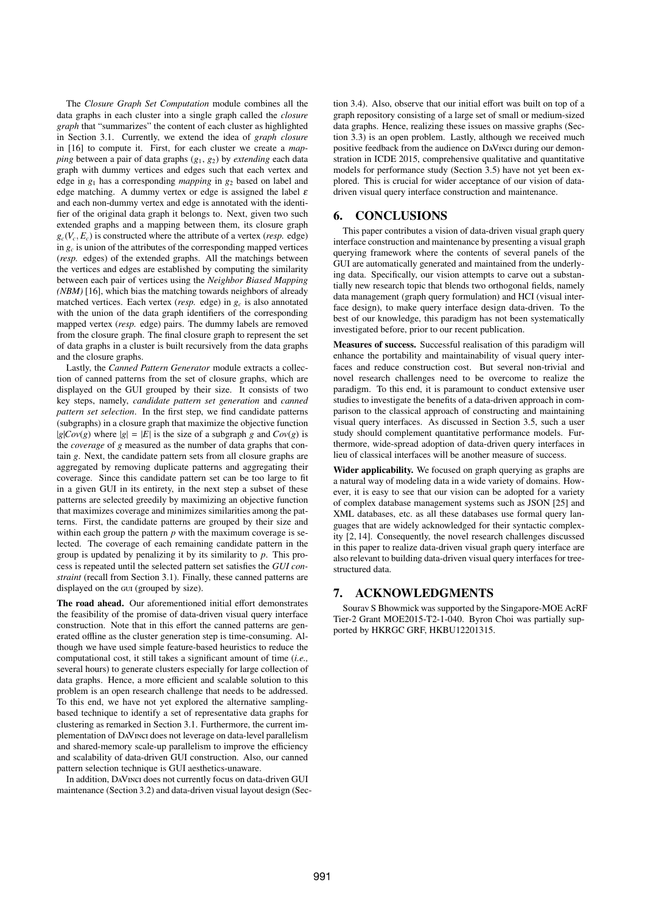The *Closure Graph Set Computation* module combines all the data graphs in each cluster into a single graph called the *closure graph* that "summarizes" the content of each cluster as highlighted in Section 3.1. Currently, we extend the idea of *graph closure* in [16] to compute it. First, for each cluster we create a *mapping* between a pair of data graphs (*g*1, *g*2) by *extending* each data graph with dummy vertices and edges such that each vertex and edge in *g*<sup>1</sup> has a corresponding *mapping* in *g*<sup>2</sup> based on label and edge matching. A dummy vertex or edge is assigned the label  $\varepsilon$ and each non-dummy vertex and edge is annotated with the identifier of the original data graph it belongs to. Next, given two such extended graphs and a mapping between them, its closure graph  $g_c(V_c, E_c)$  is constructed where the attribute of a vertex (*resp.* edge) in  $g_c$  is union of the attributes of the corresponding mapped vertices (*resp.* edges) of the extended graphs. All the matchings between the vertices and edges are established by computing the similarity between each pair of vertices using the *Neighbor Biased Mapping (NBM)* [16], which bias the matching towards neighbors of already matched vertices. Each vertex (*resp.* edge) in *g<sup>c</sup>* is also annotated with the union of the data graph identifiers of the corresponding mapped vertex (*resp.* edge) pairs. The dummy labels are removed from the closure graph. The final closure graph to represent the set of data graphs in a cluster is built recursively from the data graphs and the closure graphs.

Lastly, the *Canned Pattern Generator* module extracts a collection of canned patterns from the set of closure graphs, which are displayed on the GUI grouped by their size. It consists of two key steps, namely, *candidate pattern set generation* and *canned pattern set selection*. In the first step, we find candidate patterns (subgraphs) in a closure graph that maximize the objective function  $|g|Cov(g)$  where  $|g| = |E|$  is the size of a subgraph *g* and  $Cov(g)$  is the *coverage* of *g* measured as the number of data graphs that contain *g*. Next, the candidate pattern sets from all closure graphs are aggregated by removing duplicate patterns and aggregating their coverage. Since this candidate pattern set can be too large to fit in a given GUI in its entirety, in the next step a subset of these patterns are selected greedily by maximizing an objective function that maximizes coverage and minimizes similarities among the patterns. First, the candidate patterns are grouped by their size and within each group the pattern *p* with the maximum coverage is selected. The coverage of each remaining candidate pattern in the group is updated by penalizing it by its similarity to *p*. This process is repeated until the selected pattern set satisfies the *GUI constraint* (recall from Section 3.1). Finally, these canned patterns are displayed on the GUI (grouped by size).

**The road ahead.** Our aforementioned initial effort demonstrates the feasibility of the promise of data-driven visual query interface construction. Note that in this effort the canned patterns are generated offline as the cluster generation step is time-consuming. Although we have used simple feature-based heuristics to reduce the computational cost, it still takes a significant amount of time (*i.e.,* several hours) to generate clusters especially for large collection of data graphs. Hence, a more efficient and scalable solution to this problem is an open research challenge that needs to be addressed. To this end, we have not yet explored the alternative samplingbased technique to identify a set of representative data graphs for clustering as remarked in Section 3.1. Furthermore, the current implementation of DaVinci does not leverage on data-level parallelism and shared-memory scale-up parallelism to improve the efficiency and scalability of data-driven GUI construction. Also, our canned pattern selection technique is GUI aesthetics-unaware.

In addition, DaVinci does not currently focus on data-driven GUI maintenance (Section 3.2) and data-driven visual layout design (Section 3.4). Also, observe that our initial effort was built on top of a graph repository consisting of a large set of small or medium-sized data graphs. Hence, realizing these issues on massive graphs (Section 3.3) is an open problem. Lastly, although we received much positive feedback from the audience on DaVinci during our demonstration in ICDE 2015, comprehensive qualitative and quantitative models for performance study (Section 3.5) have not yet been explored. This is crucial for wider acceptance of our vision of datadriven visual query interface construction and maintenance.

## **6. CONCLUSIONS**

This paper contributes a vision of data-driven visual graph query interface construction and maintenance by presenting a visual graph querying framework where the contents of several panels of the GUI are automatically generated and maintained from the underlying data. Specifically, our vision attempts to carve out a substantially new research topic that blends two orthogonal fields, namely data management (graph query formulation) and HCI (visual interface design), to make query interface design data-driven. To the best of our knowledge, this paradigm has not been systematically investigated before, prior to our recent publication.

**Measures of success.** Successful realisation of this paradigm will enhance the portability and maintainability of visual query interfaces and reduce construction cost. But several non-trivial and novel research challenges need to be overcome to realize the paradigm. To this end, it is paramount to conduct extensive user studies to investigate the benefits of a data-driven approach in comparison to the classical approach of constructing and maintaining visual query interfaces. As discussed in Section 3.5, such a user study should complement quantitative performance models. Furthermore, wide-spread adoption of data-driven query interfaces in lieu of classical interfaces will be another measure of success.

**Wider applicability.** We focused on graph querying as graphs are a natural way of modeling data in a wide variety of domains. However, it is easy to see that our vision can be adopted for a variety of complex database management systems such as JSON [25] and XML databases, etc. as all these databases use formal query languages that are widely acknowledged for their syntactic complexity [2, 14]. Consequently, the novel research challenges discussed in this paper to realize data-driven visual graph query interface are also relevant to building data-driven visual query interfaces for treestructured data.

## **7. ACKNOWLEDGMENTS**

Sourav S Bhowmick was supported by the Singapore-MOE AcRF Tier-2 Grant MOE2015-T2-1-040. Byron Choi was partially supported by HKRGC GRF, HKBU12201315.